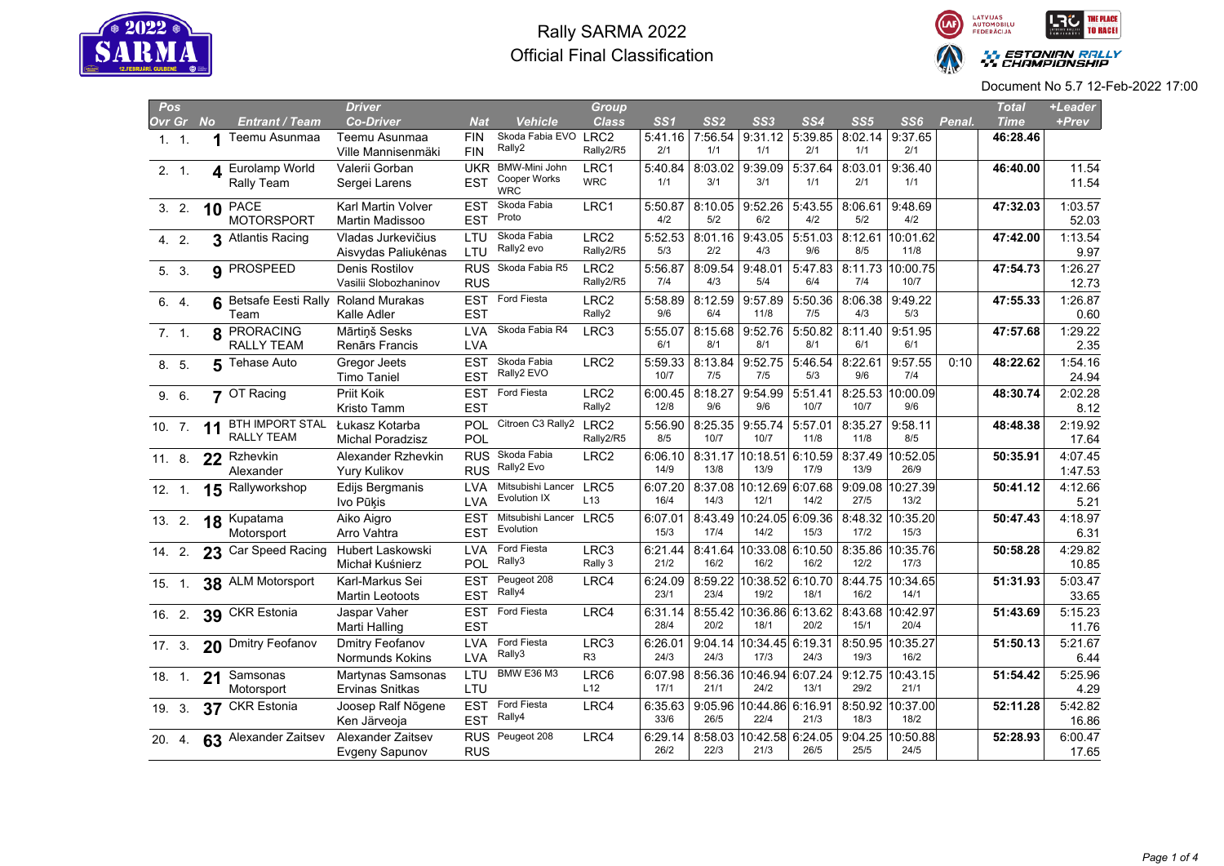



| Pos    |    |           |                            | <b>Driver</b>                             |                          |                            | <b>Group</b>           |                 |                 |                              |                 |                 |                            |        | <b>Total</b> | +Leader          |
|--------|----|-----------|----------------------------|-------------------------------------------|--------------------------|----------------------------|------------------------|-----------------|-----------------|------------------------------|-----------------|-----------------|----------------------------|--------|--------------|------------------|
| Ovr Gr |    | <b>No</b> | Entrant / Team             | <b>Co-Driver</b>                          | <b>Nat</b>               | <b>Vehicle</b>             | <b>Class</b>           | SS1             | SS2             | SS3                          | SS <sub>4</sub> | SS5             | SS6                        | Penal. | <b>Time</b>  | +Prev            |
| 1.1.   |    | 1         | Teemu Asunmaa              | Teemu Asunmaa                             | <b>FIN</b>               | Skoda Fabia EVO LRC2       |                        | 5:41.16         | 7:56.54         | $9:31.12$ 5:39.85            |                 | 8:02.14         | 9:37.65                    |        | 46:28.46     |                  |
|        |    |           |                            | Ville Mannisenmäki                        | <b>FIN</b>               | Rally2                     | Rally2/R5              | 2/1             | 1/1             | 1/1                          | 2/1             | 1/1             | 2/1                        |        |              |                  |
| 2.1    |    | 4         | Eurolamp World             | Valerii Gorban                            | UKR                      | BMW-Mini John              | LRC1                   | 5:40.84         | 8:03.02         | 9:39.09                      | 5:37.64         | 8:03.01         | 9:36.40                    |        | 46:40.00     | 11.54            |
|        |    |           | Rally Team                 | Sergei Larens                             | <b>EST</b>               | Cooper Works<br><b>WRC</b> | <b>WRC</b>             | 1/1             | 3/1             | 3/1                          | 1/1             | 2/1             | 1/1                        |        |              | 11.54            |
|        |    |           | PACE                       | Karl Martin Volver                        | EST                      | Skoda Fabia                | LRC1                   | 5:50.87         | 8:10.05         | 9:52.26                      | 5:43.55         | 8:06.61         | 9:48.69                    |        | 47:32.03     | 1:03.57          |
| 3.2.   |    | 10        | MOTORSPORT                 | Martin Madissoo                           | <b>EST</b>               | Proto                      |                        | 4/2             | 5/2             | 6/2                          | 4/2             | 5/2             | 4/2                        |        |              | 52.03            |
|        |    |           | 3 Atlantis Racing          | Vladas Jurkevičius                        | LTU                      | Skoda Fabia                | LRC <sub>2</sub>       | 5:52.53         | 8:01.16         | 9:43.05                      | 5:51.03         | 8:12.61         | 10:01.62                   |        | 47:42.00     | 1:13.54          |
| 4. 2.  |    |           |                            | Aisvydas Paliukėnas                       | LTU                      | Rally2 evo                 | Rally2/R5              | 5/3             | 2/2             | 4/3                          | 9/6             | 8/5             | 11/8                       |        |              | 9.97             |
|        |    |           | 9 PROSPEED                 | Denis Rostilov                            |                          | RUS Skoda Fabia R5         | LRC <sub>2</sub>       | 5:56.87         | 8:09.54         | 9:48.01                      | 5:47.83         |                 | 8:11.73 10:00.75           |        | 47:54.73     | 1:26.27          |
| 5. 3.  |    |           |                            | Vasilii Slobozhaninov                     | <b>RUS</b>               |                            | Rally2/R5              | 7/4             | 4/3             | 5/4                          | 6/4             | 7/4             | 10/7                       |        |              | 12.73            |
|        |    |           | <b>Betsafe Eesti Rally</b> | <b>Roland Murakas</b>                     | <b>EST</b>               | Ford Fiesta                | LRC <sub>2</sub>       | 5:58.89         | 8:12.59         | 9:57.89                      | 5:50.36         | 8:06.38         | 9:49.22                    |        | 47:55.33     | 1:26.87          |
| 6. 4.  |    | 6         | Team                       | Kalle Adler                               | EST                      |                            | Rally2                 | 9/6             | 6/4             | 11/8                         | 7/5             | 4/3             | 5/3                        |        |              | 0.60             |
|        |    |           | <b>PRORACING</b>           | Mārtiņš Sesks                             | LVA                      | Skoda Fabia R4             | LRC3                   | 5:55.07         | 8:15.68         | 9:52.76                      | 5:50.82         | 8:11.40         | 9:51.95                    |        | 47:57.68     | 1:29.22          |
| 7.1    |    | 8         | RALLY TEAM                 | Renārs Francis                            | <b>LVA</b>               |                            |                        | 6/1             | 8/1             | 8/1                          | 8/1             | 6/1             | 6/1                        |        |              | 2.35             |
|        |    |           | <b>Tehase Auto</b>         | Gregor Jeets                              | EST                      | Skoda Fabia                | LRC <sub>2</sub>       | 5:59.33         | 8:13.84         | $9:52.75$ 5:46.54            |                 | 8:22.61         | 9:57.55                    | 0:10   | 48:22.62     | 1:54.16          |
| 8. 5.  |    | 5         |                            | <b>Timo Taniel</b>                        | <b>EST</b>               | Rally2 EVO                 |                        | 10/7            | 7/5             | 7/5                          | 5/3             | 9/6             | 7/4                        |        |              | 24.94            |
|        |    |           | 7 OT Racing                | Priit Koik                                |                          | EST Ford Fiesta            | LRC <sub>2</sub>       | 6:00.45         | 8:18.27         | 9:54.99                      | 5:51.41         |                 | 8:25.53 10:00.09           |        | 48:30.74     | 2:02.28          |
| 9. 6.  |    |           |                            | Kristo Tamm                               | <b>EST</b>               |                            | Rally2                 | 12/8            | 9/6             | 9/6                          | 10/7            | 10/7            | 9/6                        |        |              | 8.12             |
|        |    |           | <b>BTH IMPORT STAL</b>     | Łukasz Kotarba                            | POL                      | Citroen C3 Rally2          | LRC <sub>2</sub>       | 5:56.90         | 8:25.35         | 9:55.74                      | 5:57.01         | 8:35.27         | 9:58.11                    |        |              | 2:19.92          |
| 10.7.  |    | 11        | RALLY TEAM                 | <b>Michal Poradzisz</b>                   | POL                      |                            | Rally2/R5              | 8/5             | 10/7            | 10/7                         | 11/8            | 11/8            | 8/5                        |        | 48:48.38     | 17.64            |
|        |    |           |                            | Alexander Rzhevkin                        | <b>RUS</b>               | Skoda Fabia                | LRC <sub>2</sub>       | 6:06.10         | 8:31.17         | 10:18.51                     | 6:10.59         |                 | 8:37.49 10:52.05           |        | 50:35.91     | 4:07.45          |
| 11.8.  |    | 22        | Rzhevkin<br>Alexander      | Yury Kulikov                              | <b>RUS</b>               | Rally2 Evo                 |                        | 14/9            | 13/8            | 13/9                         | 17/9            | 13/9            | 26/9                       |        |              | 1:47.53          |
|        |    |           |                            |                                           | LVA                      | Mitsubishi Lancer          | LRC5                   | 6:07.20         |                 | 8:37.08 10:12.69 6:07.68     |                 |                 | 9:09.08 10:27.39           |        |              | 4:12.66          |
| 12.1   |    | 15        | Rallyworkshop              | Edijs Bergmanis<br>Ivo Pūķis              | LVA                      | Evolution IX               | L <sub>13</sub>        | 16/4            | 14/3            | 12/1                         | 14/2            | 27/5            | 13/2                       |        | 50:41.12     | 5.21             |
|        |    |           |                            |                                           |                          | Mitsubishi Lancer LRC5     |                        |                 |                 |                              |                 |                 |                            |        |              |                  |
| 13.2.  |    |           | 18 Kupatama<br>Motorsport  | Aiko Aigro<br>Arro Vahtra                 | EST<br><b>EST</b>        | Evolution                  |                        | 6:07.01<br>15/3 | 8:43.49<br>17/4 | 10:24.05 6:09.36<br>14/2     | 15/3            | 17/2            | 8:48.32 10:35.20<br>15/3   |        | 50:47.43     | 4:18.97<br>6.31  |
|        |    |           |                            |                                           | <b>LVA</b>               | Ford Fiesta                | LRC3                   | 6:21.44         |                 | 10:33.08 6:10.50             |                 | 8:35.86         | 10:35.76                   |        |              | 4:29.82          |
| 14.2.  |    |           | 23 Car Speed Racing        | Hubert Laskowski<br>Michał Kuśnierz       | POL                      | Rally3                     | Rally 3                | 21/2            | 8:41.64<br>16/2 | 16/2                         | 16/2            | 12/2            | 17/3                       |        | 50:58.28     | 10.85            |
|        |    |           |                            |                                           | <b>EST</b>               | Peugeot 208                |                        |                 |                 |                              |                 |                 |                            |        |              |                  |
| 15.1   |    |           | 38 ALM Motorsport          | Karl-Markus Sei<br><b>Martin Leotoots</b> | <b>EST</b>               | Rally4                     | LRC4                   | 6:24.09<br>23/1 | 8:59.22<br>23/4 | 10:38.52 6:10.70<br>19/2     | 18/1            | 8:44.75<br>16/2 | 10:34.65<br>14/1           |        | 51:31.93     | 5:03.47<br>33.65 |
|        |    |           |                            |                                           | <b>EST</b>               | Ford Fiesta                | LRC4                   | 6:31.14         |                 | 8:55.42 10:36.86 6:13.62     |                 |                 | 8:43.68 10:42.97           |        |              | 5:15.23          |
| 16.2.  |    |           | 39 CKR Estonia             | Jaspar Vaher<br>Marti Halling             | <b>EST</b>               |                            |                        | 28/4            | 20/2            | 18/1                         | 20/2            | 15/1            | 20/4                       |        | 51:43.69     | 11.76            |
|        |    |           |                            |                                           |                          | Ford Fiesta                |                        |                 |                 | 10:34.45 6:19.31             |                 |                 |                            |        |              |                  |
| 17.3.  |    |           | 20 Dmitry Feofanov         | Dmitry Feofanov<br>Normunds Kokins        | <b>LVA</b><br>LVA        | Rally3                     | LRC3<br>R <sub>3</sub> | 6:26.01<br>24/3 | 9:04.14<br>24/3 | 17/3                         | 24/3            | 8:50.95<br>19/3 | 10:35.27<br>16/2           |        | 51:50.13     | 5:21.67<br>6.44  |
|        |    |           |                            |                                           |                          | <b>BMW E36 M3</b>          |                        |                 |                 |                              |                 |                 |                            |        |              |                  |
| 18. 1. |    |           | 21 Samsonas                | Martynas Samsonas                         | LTU<br>LTU               |                            | LRC6<br>L12            | 6:07.98<br>17/1 | 8:56.36<br>21/1 | $ 10:46.94 $ 6:07.24<br>24/2 | 13/1            | 29/2            | 9:12.75 10:43.15<br>21/1   |        | 51:54.42     | 5:25.96          |
|        |    |           | Motorsport                 | <b>Ervinas Snitkas</b>                    |                          |                            |                        |                 |                 |                              |                 |                 |                            |        |              | 4.29             |
| 19.    | 3. |           | 37 CKR Estonia             | Joosep Ralf Nõgene                        | <b>EST</b><br><b>EST</b> | Ford Fiesta<br>Rally4      | LRC4                   | 6:35.63<br>33/6 | 9:05.96<br>26/5 | 10:44.86 6:16.91<br>22/4     | 21/3            | 8:50.92<br>18/3 | 10:37.00<br>18/2           |        | 52:11.28     | 5:42.82          |
|        |    |           |                            | Ken Järveoja                              |                          |                            |                        |                 |                 |                              |                 |                 |                            |        |              | 16.86            |
| 20 4   |    |           | 63 Alexander Zaitsev       | Alexander Zaitsev                         |                          | RUS Peugeot 208            | LRC4                   | 6:29.14<br>26/2 | 8:58.03<br>22/3 | 10:42.58 6:24.05<br>21/3     | 26/5            | 25/5            | $9:04.25$ 10:50.88<br>24/5 |        | 52:28.93     | 6:00.47          |
|        |    |           |                            | Evgeny Sapunov                            | <b>RUS</b>               |                            |                        |                 |                 |                              |                 |                 |                            |        |              | 17.65            |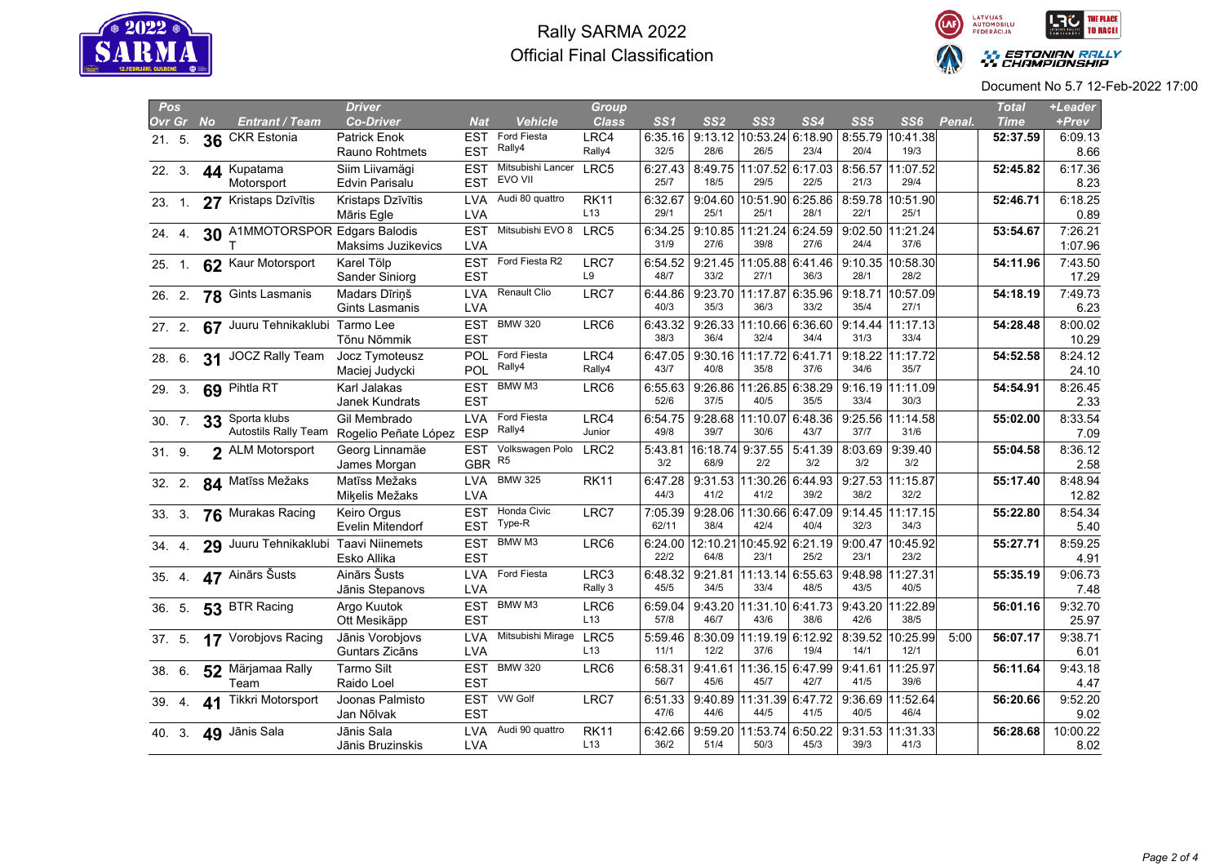



| Pos    |           |                                       | <b>Driver</b>                   |                          |                                   | Group                          |                 |                  |                          |         |                 |                          |        | <b>Total</b> | +Leader          |
|--------|-----------|---------------------------------------|---------------------------------|--------------------------|-----------------------------------|--------------------------------|-----------------|------------------|--------------------------|---------|-----------------|--------------------------|--------|--------------|------------------|
| Ovr Gr | <b>No</b> | Entrant / Team                        | <b>Co-Driver</b>                | Nat                      | <b>Vehicle</b>                    | <b>Class</b>                   | SS1             | SS <sub>2</sub>  | SS3                      | SS4     | SS <sub>5</sub> | SS6                      | Penal. | <b>Time</b>  | +Prev            |
| 21.5.  | 36        | <b>CKR Estonia</b>                    | Patrick Enok                    | EST                      | Ford Fiesta                       | LRC4                           | 6:35.16         | 9:13.12          | 10:53.24 6:18.90         |         | 8:55.79         | 10:41.38                 |        | 52:37.59     | 6:09.13          |
|        |           |                                       | Rauno Rohtmets                  | <b>EST</b>               | Rally4                            | Rally4                         | 32/5            | 28/6             | 26/5                     | 23/4    | 20/4            | 19/3                     |        |              | 8.66             |
| 22.3.  |           | 44 Kupatama                           | Siim Liivamägi                  | <b>EST</b>               | Mitsubishi Lancer                 | LRC5                           | 6:27.43         |                  | 8:49.75 11:07.52 6:17.03 |         |                 | 8:56.57 11:07.52         |        | 52:45.82     | 6:17.36          |
|        |           | Motorsport                            | Edvin Parisalu                  | <b>EST</b>               | EVO VII                           |                                | 25/7            | 18/5             | 29/5                     | 22/5    | 21/3            | 29/4                     |        |              | 8.23             |
| 23 1   |           | 27 Kristaps Dzīvītis                  | Kristaps Dzīvītis               | <b>LVA</b>               | Audi 80 quattro                   | <b>RK11</b>                    | 6:32.67         | 9:04.60          | 10:51.90 6:25.86         |         |                 | 8:59.78 10:51.90         |        | 52:46.71     | 6:18.25          |
|        |           |                                       | Māris Egle                      | <b>LVA</b>               |                                   | L <sub>13</sub>                | 29/1            | 25/1             | 25/1                     | 28/1    | 22/1            | 25/1                     |        |              | 0.89             |
| 24. 4. |           | 30 A1MMOTORSPOR Edgars Balodis        |                                 | <b>EST</b>               | Mitsubishi EVO 8 LRC5             |                                | 6:34.25         |                  | 9:10.85 11:21.24 6:24.59 |         |                 | 9:02.50 11:21.24         |        | 53:54.67     | 7:26.21          |
|        |           |                                       | Maksims Juzikevics              | <b>LVA</b>               |                                   |                                | 31/9            | 27/6             | 39/8                     | 27/6    | 24/4            | 37/6                     |        |              | 1:07.96          |
| 25. 1. |           | 62 Kaur Motorsport                    | Karel Tölp                      | <b>EST</b>               | Ford Fiesta R2                    | LRC7                           | 6:54.52         | 9:21.45          | 11:05.88 6:41.46         |         | 9:10.35         | 10:58.30                 |        | 54:11.96     | 7:43.50          |
|        |           |                                       | Sander Siniorg                  | <b>EST</b>               |                                   | L9                             | 48/7            | 33/2             | 27/1                     | 36/3    | 28/1            | 28/2                     |        |              | 17.29            |
| 26.2   |           | 78 Gints Lasmanis                     | Madars Dīriņš                   | <b>LVA</b>               | Renault Clio                      | LRC7                           | 6:44.86         | 9:23.70          | 11:17.87 6:35.96         |         | 9:18.71         | 10:57.09                 |        | 54:18.19     | 7:49.73          |
|        |           |                                       | Gints Lasmanis                  | <b>LVA</b>               |                                   |                                | 40/3            | 35/3             | 36/3                     | 33/2    | 35/4            | 27/1                     |        |              | 6.23             |
| 27.2.  |           | 67 Juuru Tehnikaklubi Tarmo Lee       |                                 | <b>EST</b>               | <b>BMW 320</b>                    | LRC6                           | 6:43.32         | 9:26.33          | 11:10.66 6:36.60         |         |                 | 9:14.44 11:17.13         |        | 54:28.48     | 8:00.02          |
|        |           |                                       | Tõnu Nõmmik                     | <b>EST</b>               |                                   |                                | 38/3            | 36/4             | 32/4                     | 34/4    | 31/3            | 33/4                     |        |              | 10.29            |
| 28. 6. |           | 31 JOCZ Rally Team                    | Jocz Tymoteusz                  | POL                      | Ford Fiesta                       | LRC4                           | 6:47.05         | 9:30.16          | 11:17.72 6:41.71         |         |                 | 9:18.22 11:17.72         |        | 54:52.58     | 8:24.12          |
|        |           |                                       | Maciej Judycki                  | POL                      | Rally4                            | Rally4                         | 43/7            | 40/8             | 35/8                     | 37/6    | 34/6            | 35/7                     |        |              | 24.10            |
| 29. 3. |           | 69 Pihtla RT                          | Karl Jalakas                    | <b>EST</b>               | BMW M3                            | LRC6                           | 6:55.63         | 9:26.86          | 11:26.85                 | 6:38.29 |                 | 9:16.19 11:11.09         |        | 54:54.91     | 8:26.45          |
|        |           |                                       | Janek Kundrats                  | <b>EST</b>               |                                   |                                | 52/6            | 37/5             | 40/5                     | 35/5    | 33/4            | 30/3                     |        |              | 2.33             |
| 30. 7. | 33        | Sporta klubs                          | Gil Membrado                    | <b>LVA</b>               | Ford Fiesta<br>Rally4             | LRC4                           | 6:54.75         | 9:28.68          | 11:10.07                 | 6:48.36 | 9:25.56         | 11:14.58                 |        | 55:02.00     | 8:33.54          |
|        |           | <b>Autostils Rally Team</b>           | Rogelio Peñate López            | <b>ESP</b>               |                                   | Junior                         | 49/8            | 39/7             | 30/6                     | 43/7    | 37/7            | 31/6                     |        |              | 7.09             |
| 31.9.  |           | 2 ALM Motorsport                      | Georg Linnamäe                  | <b>EST</b>               | Volkswagen Polo<br>R <sub>5</sub> | LRC <sub>2</sub>               | 5:43.81         |                  | 16:18.74 9:37.55         | 5:41.39 |                 | $8:03.69$   9:39.40      |        | 55:04.58     | 8:36.12          |
|        |           |                                       | James Morgan                    | <b>GBR</b>               |                                   |                                | 3/2             | 68/9             | 2/2                      | 3/2     | 3/2             | 3/2                      |        |              | 2.58             |
| 32.2.  |           | 84 Matīss Mežaks                      | Matīss Mežaks                   | <b>LVA</b>               | <b>BMW 325</b>                    | <b>RK11</b>                    | 6:47.28<br>44/3 | 9:31.53          | 11:30.26 6:44.93         |         | 38/2            | 9:27.53 11:15.87<br>32/2 |        | 55:17.40     | 8:48.94          |
|        |           |                                       | Miķelis Mežaks                  | <b>LVA</b>               |                                   |                                |                 | 41/2             | 41/2                     | 39/2    |                 |                          |        |              | 12.82            |
| 33 3   |           | 76 Murakas Racing                     | <b>Keiro Orgus</b>              | <b>EST</b>               | Honda Civic<br>Type-R             | LRC7                           | 7:05.39         | 9:28.06<br>38/4  | 11:30.66 6:47.09<br>42/4 | 40/4    | 32/3            | 9:14.45 11:17.15         |        | 55:22.80     | 8:54.34          |
|        |           |                                       | Evelin Mitendorf                | <b>EST</b>               |                                   |                                | 62/11           |                  |                          |         |                 | 34/3                     |        |              | 5.40             |
| 34 4   |           | 29 Juuru Tehnikaklubi Taavi Niinemets |                                 | <b>EST</b>               | BMW M3                            | LRC6                           | 6:24.00<br>22/2 | 12:10.21<br>64/8 | 10:45.92 6:21.19<br>23/1 | 25/2    | 9:00.47<br>23/1 | 10:45.92<br>23/2         |        | 55:27.71     | 8:59.25          |
|        |           |                                       | Esko Allika                     | <b>EST</b>               |                                   |                                |                 |                  |                          |         |                 |                          |        |              | 4.91             |
| 35. 4. |           | 47 Ainārs Šusts                       | Ainārs Šusts                    | <b>LVA</b><br><b>LVA</b> | Ford Fiesta                       | LRC3<br>Rally 3                | 6:48.32<br>45/5 | 9:21.81<br>34/5  | 11:13.14 6:55.63<br>33/4 | 48/5    | 43/5            | 9:48.98 11:27.31<br>40/5 |        | 55:35.19     | 9:06.73<br>7.48  |
|        |           |                                       | Jānis Stepanovs                 |                          | BMW M3                            |                                |                 |                  |                          |         |                 |                          |        |              |                  |
| 36. 5. |           | 53 BTR Racing                         | Argo Kuutok                     | <b>EST</b><br><b>EST</b> |                                   | LRC6<br>L13                    | 6:59.04<br>57/8 | 9:43.20<br>46/7  | 11:31.10 6:41.73<br>43/6 | 38/6    | 9:43.20<br>42/6 | 11:22.89<br>38/5         |        | 56:01.16     | 9:32.70          |
|        |           |                                       | Ott Mesikäpp                    |                          |                                   |                                |                 |                  |                          |         |                 |                          |        |              | 25.97            |
| 37. 5. |           | 17 Vorobjovs Racing                   | Jānis Vorobjovs                 | <b>LVA</b><br><b>LVA</b> | Mitsubishi Mirage LRC5            | L13                            | 5:59.46<br>11/1 | 8:30.09<br>12/2  | 11:19.19 6:12.92<br>37/6 | 19/4    | 14/1            | 8:39.52 10:25.99<br>12/1 | 5:00   | 56:07.17     | 9:38.71          |
|        |           |                                       | Guntars Zicāns                  |                          | <b>BMW 320</b>                    |                                |                 |                  |                          |         |                 |                          |        |              | 6.01             |
| 38 6   |           | 52 Märjamaa Rally<br>Team             | <b>Tarmo Silt</b><br>Raido Loel | <b>EST</b><br><b>EST</b> |                                   | LRC6                           | 6:58.31<br>56/7 | 9:41.61<br>45/6  | 11:36.15 6:47.99<br>45/7 | 42/7    | 41/5            | 9:41.61 11:25.97<br>39/6 |        | 56:11.64     | 9:43.18<br>4.47  |
|        |           |                                       |                                 |                          | EST VW Golf                       |                                |                 |                  |                          |         |                 |                          |        |              |                  |
| 39 4   | 41        | Tikkri Motorsport                     | Joonas Palmisto<br>Jan Nõlvak   | <b>EST</b>               |                                   | LRC7                           | 6:51.33<br>47/6 | 9:40.89<br>44/6  | 11:31.39 6:47.72<br>44/5 | 41/5    | 9:36.69<br>40/5 | 11:52.64<br>46/4         |        | 56:20.66     | 9:52.20<br>9.02  |
|        |           |                                       |                                 |                          | Audi 90 quattro                   |                                |                 |                  |                          |         |                 |                          |        |              |                  |
| 40. 3. |           | 49 Jānis Sala                         | Jānis Sala<br>Jānis Bruzinskis  | <b>LVA</b><br><b>LVA</b> |                                   | <b>RK11</b><br>L <sub>13</sub> | 6:42.66<br>36/2 | 9:59.20<br>51/4  | 11:53.74 6:50.22<br>50/3 | 45/3    | 39/3            | 9:31.53 11:31.33<br>41/3 |        | 56:28.68     | 10:00.22<br>8.02 |
|        |           |                                       |                                 |                          |                                   |                                |                 |                  |                          |         |                 |                          |        |              |                  |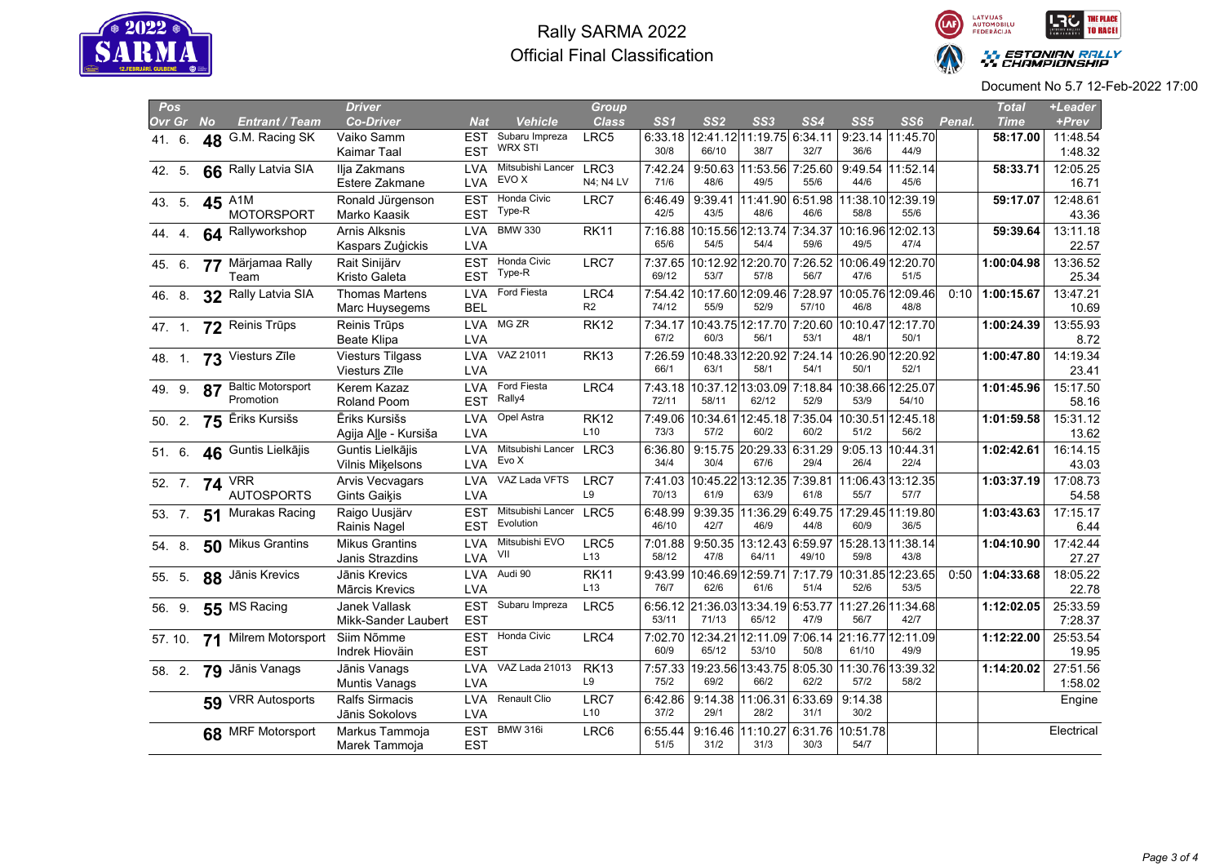



| <b>Pos</b> |                       | <b>Driver</b>           |            |                                     | <b>Group</b>    |         |                 |                                               |                 |                   |                                    |        | <b>Total</b> | +Leader    |
|------------|-----------------------|-------------------------|------------|-------------------------------------|-----------------|---------|-----------------|-----------------------------------------------|-----------------|-------------------|------------------------------------|--------|--------------|------------|
| Ovr Gr No  | <b>Entrant / Team</b> | <b>Co-Driver</b>        | Nat        | <b>Vehicle</b>                      | <b>Class</b>    | SS1     | SS <sub>2</sub> | SS <sub>3</sub>                               | SS <sub>4</sub> | SS <sub>5</sub>   | SS6                                | Penal. | <b>Time</b>  | +Prev      |
| 41. 6.     | 48 G.M. Racing SK     | Vaiko Samm              | EST        | Subaru Impreza                      | LRC5            | 6:33.18 |                 | 12:41.12 11:19.75 6:34.11                     |                 |                   | 9:23.14 11:45.70                   |        | 58:17.00     | 11:48.54   |
|            |                       | Kaimar Taal             | <b>EST</b> | <b>WRX STI</b>                      |                 | 30/8    | 66/10           | 38/7                                          | 32/7            | 36/6              | 44/9                               |        |              | 1:48.32    |
| 42. 5.     | 66 Rally Latvia SIA   | Ilja Zakmans            | <b>LVA</b> | Mitsubishi Lancer                   | LRC3            | 7:42.24 |                 | 9:50.63 11:53.56 7:25.60                      |                 |                   | 9:49.54 11:52.14                   |        | 58:33.71     | 12:05.25   |
|            |                       | Estere Zakmane          | <b>LVA</b> | EVO X                               | N4; N4 LV       | 71/6    | 48/6            | 49/5                                          | 55/6            | 44/6              | 45/6                               |        |              | 16.71      |
| 43. 5.     | 45 A <sub>1M</sub>    | Ronald Jürgenson        | <b>EST</b> | Honda Civic                         | LRC7            | 6:46.49 | 9:39.41         |                                               |                 |                   | 11:41.90 6:51.98 11:38.10 12:39.19 |        | 59:17.07     | 12:48.61   |
|            | <b>MOTORSPORT</b>     | Marko Kaasik            | <b>EST</b> | Type-R                              |                 | 42/5    | 43/5            | 48/6                                          | 46/6            | 58/8              | 55/6                               |        |              | 43.36      |
| 44 4       | 64 Rallyworkshop      | Arnis Alksnis           | <b>LVA</b> | <b>BMW 330</b>                      | <b>RK11</b>     |         |                 | 7:16.88 10:15.56 12:13.74 7:34.37             |                 |                   | 10:16.96 12:02.13                  |        | 59:39.64     | 13:11.18   |
|            |                       | Kaspars Zuģickis        | <b>LVA</b> |                                     |                 | 65/6    | 54/5            | 54/4                                          | 59/6            | 49/5              | 47/4                               |        |              | 22.57      |
| 45. 6.     | 77 Märjamaa Rally     | Rait Sinijärv           | <b>EST</b> | Honda Civic                         | LRC7            | 7:37.65 |                 | 10:12.92 12:20.70                             | 7:26.52         |                   | 10:06.49 12:20.70                  |        | 1:00:04.98   | 13:36.52   |
|            | Team                  | Kristo Galeta           | <b>EST</b> | Type-R                              |                 | 69/12   | 53/7            | 57/8                                          | 56/7            | 47/6              | 51/5                               |        |              | 25.34      |
| 46. 8.     | 32 Rally Latvia SIA   | <b>Thomas Martens</b>   | <b>LVA</b> | Ford Fiesta                         | LRC4            | 7:54.42 |                 | 10:17.60 12:09.46 7:28.97                     |                 |                   | 10:05.76 12:09.46                  | 0:10   | 1:00:15.67   | 13:47.21   |
|            |                       | Marc Huysegems          | <b>BEL</b> |                                     | R <sub>2</sub>  | 74/12   | 55/9            | 52/9                                          | 57/10           | 46/8              | 48/8                               |        |              | 10.69      |
| 47. 1.     | 72 Reinis Trūps       | Reinis Trūps            | LVA        | MG ZR                               | <b>RK12</b>     | 7:34.17 |                 | 10:43.75 12:17.70                             | 7:20.60         |                   | 10:10.47 12:17.70                  |        | 1:00:24.39   | 13:55.93   |
|            |                       | <b>Beate Klipa</b>      | <b>LVA</b> |                                     |                 | 67/2    | 60/3            | 56/1                                          | 53/1            | 48/1              | 50/1                               |        |              | 8.72       |
| 48. 1.     | 73 Viesturs Zīle      | <b>Viesturs Tilgass</b> |            | LVA VAZ 21011                       | <b>RK13</b>     | 7:26.59 |                 | 10:48.33 12:20.92 7:24.14 10:26.90 12:20.92   |                 |                   |                                    |        | 1:00:47.80   | 14:19.34   |
|            |                       | Viesturs Zīle           | <b>LVA</b> |                                     |                 | 66/1    | 63/1            | 58/1                                          | 54/1            | 50/1              | 52/1                               |        |              | 23.41      |
| 49 9       | 87 Baltic Motorsport  | Kerem Kazaz             | <b>LVA</b> | Ford Fiesta                         | LRC4            | 7:43.18 |                 | 10:37.12 13:03.09                             | 7:18.84         | 10:38.66 12:25.07 |                                    |        | 1:01:45.96   | 15:17.50   |
|            | Promotion             | Roland Poom             | <b>EST</b> | Rally4                              |                 | 72/11   | 58/11           | 62/12                                         | 52/9            | 53/9              | 54/10                              |        |              | 58.16      |
| 50. 2.     | 75 Ēriks Kursišs      | Ēriks Kursišs           | <b>LVA</b> | Opel Astra                          | <b>RK12</b>     | 7:49.06 | 10:34.61        | 12:45.18 7:35.04                              |                 |                   | 10:30.51 12:45.18                  |        | 1:01:59.58   | 15:31.12   |
|            |                       | Agija Alle - Kursiša    | <b>LVA</b> |                                     | L <sub>10</sub> | 73/3    | 57/2            | 60/2                                          | 60/2            | 51/2              | 56/2                               |        |              | 13.62      |
| 51. 6.     | 46 Guntis Lielkājis   | Guntis Lielkājis        | <b>LVA</b> | Mitsubishi Lancer<br>Evo X          | LRC3            | 6:36.80 |                 | 9:15.75 20:29.33 6:31.29                      |                 |                   | 9:05.13 10:44.31                   |        | 1:02:42.61   | 16:14.15   |
|            |                       | Vilnis Mikelsons        | <b>LVA</b> |                                     |                 | 34/4    | 30/4            | 67/6                                          | 29/4            | 26/4              | 22/4                               |        |              | 43.03      |
| 52. 7.     | <b>74 VRR</b>         | Arvis Vecvagars         | <b>LVA</b> | VAZ Lada VFTS                       | LRC7            | 7:41.03 |                 | 10:45.22 13:12.35 7:39.81                     |                 |                   | 11:06.43 13:12.35                  |        | 1:03:37.19   | 17:08.73   |
|            | <b>AUTOSPORTS</b>     | Gints Gaikis            | LVA        |                                     | L9              | 70/13   | 61/9            | 63/9                                          | 61/8            | 55/7              | 57/7                               |        |              | 54.58      |
| 53. 7.     | 51 Murakas Racing     | Raigo Uusjärv           | <b>EST</b> | Mitsubishi Lancer LRC5<br>Evolution |                 | 6:48.99 |                 | 9:39.35 11:36.29 6:49.75 17:29.45 11:19.80    |                 |                   |                                    |        | 1:03:43.63   | 17:15.17   |
|            |                       | Rainis Nagel            | <b>EST</b> |                                     |                 | 46/10   | 42/7            | 46/9                                          | 44/8            | 60/9              | 36/5                               |        |              | 6.44       |
| 54 8.      | 50 Mikus Grantins     | <b>Mikus Grantins</b>   | <b>LVA</b> | Mitsubishi EVO<br>VII               | LRC5            | 7:01.88 | 9:50.35         | 13:12.43 6:59.97                              |                 |                   | 15:28.13 11:38.14                  |        | 1:04:10.90   | 17:42.44   |
|            |                       | Janis Strazdins         | <b>LVA</b> |                                     | L13             | 58/12   | 47/8            | 64/11                                         | 49/10           | 59/8              | 43/8                               |        |              | 27.27      |
| 55. 5.     | 88 Jānis Krevics      | Jānis Krevics           | <b>LVA</b> | Audi 90                             | <b>RK11</b>     | 9:43.99 |                 | 10:46.69 12:59.71                             | 7:17.79         |                   | 10:31.85 12:23.65                  | 0:50   | 1:04:33.68   | 18:05.22   |
|            |                       | Mārcis Krevics          | <b>LVA</b> |                                     | L13             | 76/7    | 62/6            | 61/6                                          | 51/4            | 52/6              | 53/5                               |        |              | 22.78      |
| 56. 9.     | 55 MS Racing          | Janek Vallask           | <b>EST</b> | Subaru Impreza                      | LRC5            |         |                 | 6:56.12 21:36.03 13:34.19                     | 6:53.77         |                   | 11:27.26 11:34.68                  |        | 1:12:02.05   | 25:33.59   |
|            |                       | Mikk-Sander Laubert     | <b>EST</b> |                                     |                 | 53/11   | 71/13           | 65/12                                         | 47/9            | 56/7              | 42/7                               |        |              | 7:28.37    |
| 57.10.     | 71 Milrem Motorsport  | Siim Nõmme              |            | EST Honda Civic                     | LRC4            | 7:02.70 | 12:34.21        | 12:11.09                                      |                 |                   | 7:06.14 21:16.77 12:11.09          |        | 1:12:22.00   | 25:53.54   |
|            |                       | Indrek Hioväin          | <b>EST</b> |                                     |                 | 60/9    | 65/12           | 53/10                                         | 50/8            | 61/10             | 49/9                               |        |              | 19.95      |
| 58. 2.     | 79 Jānis Vanags       | Jānis Vanags            | <b>LVA</b> | VAZ Lada 21013                      | <b>RK13</b>     | 7:57.33 |                 | 19:23.56 13:43.75  8:05.30  11:30.76 13:39.32 |                 |                   |                                    |        | 1:14:20.02   | 27:51.56   |
|            |                       | <b>Muntis Vanags</b>    | <b>LVA</b> |                                     | L9              | 75/2    | 69/2            | 66/2                                          | 62/2            | 57/2              | 58/2                               |        |              | 1:58.02    |
|            | 59 VRR Autosports     | <b>Ralfs Sirmacis</b>   | <b>LVA</b> | Renault Clio                        | LRC7            | 6:42.86 | 9:14.38         | 11:06.31 6:33.69                              |                 | 9:14.38           |                                    |        |              | Engine     |
|            |                       | Jānis Sokolovs          | <b>LVA</b> |                                     | L <sub>10</sub> | 37/2    | 29/1            | 28/2                                          | 31/1            | 30/2              |                                    |        |              |            |
|            | 68 MRF Motorsport     | Markus Tammoja          | <b>EST</b> | <b>BMW 316i</b>                     | LRC6            | 6:55.44 |                 | 9:16.46 11:10.27 6:31.76 10:51.78             |                 |                   |                                    |        |              | Electrical |
|            |                       | Marek Tammoja           | <b>EST</b> |                                     |                 | 51/5    | 31/2            | 31/3                                          | 30/3            | 54/7              |                                    |        |              |            |